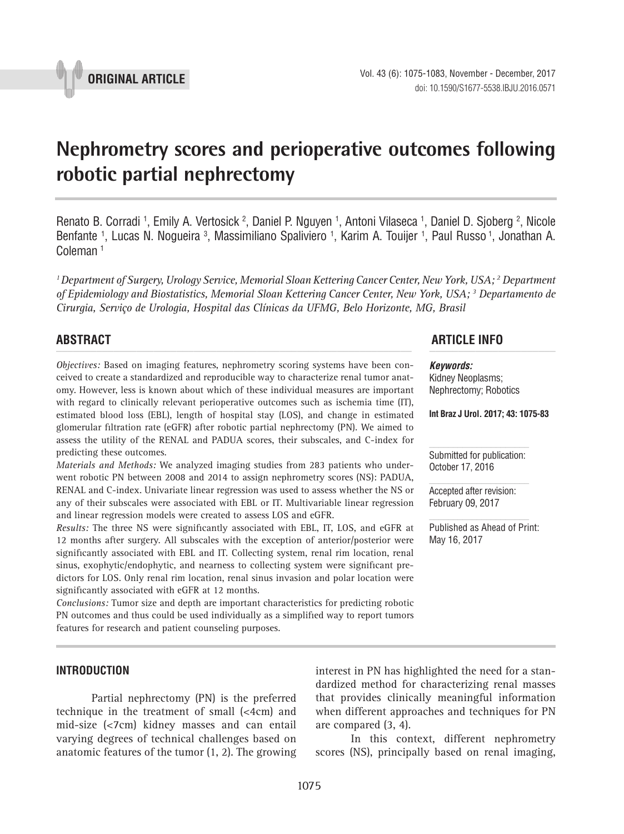

# **Nephrometry scores and perioperative outcomes following robotic partial nephrectomy \_\_\_\_\_\_\_\_\_\_\_\_\_\_\_\_\_\_\_\_\_\_\_\_\_\_\_\_\_\_\_\_\_\_\_\_\_\_\_\_\_\_\_\_\_\_\_**

Renato B. Corradi <sup>1</sup>, Emily A. Vertosick <sup>2</sup>, Daniel P. Nguyen <sup>1</sup>, Antoni Vilaseca <sup>1</sup>, Daniel D. Sjoberg <sup>2</sup>, Nicole Benfante <sup>1</sup>, Lucas N. Nogueira <sup>3</sup>, Massimiliano Spaliviero <sup>1</sup>, Karim A. Touijer <sup>1</sup>, Paul Russo <sup>1</sup>, Jonathan A. Coleman 1

*1 Department of Surgery, Urology Service, Memorial Sloan Kettering Cancer Center, New York, USA; 2 Department of Epidemiology and Biostatistics, Memorial Sloan Kettering Cancer Center, New York, USA; 3 Departamento de Cirurgia, Serviço de Urologia, Hospital das Clínicas da UFMG, Belo Horizonte, MG, Brasil*

*Objectives:* Based on imaging features, nephrometry scoring systems have been conceived to create a standardized and reproducible way to characterize renal tumor anatomy. However, less is known about which of these individual measures are important with regard to clinically relevant perioperative outcomes such as ischemia time (IT), estimated blood loss (EBL), length of hospital stay (LOS), and change in estimated glomerular filtration rate (eGFR) after robotic partial nephrectomy (PN). We aimed to assess the utility of the RENAL and PADUA scores, their subscales, and C-index for predicting these outcomes.

*Materials and Methods:* We analyzed imaging studies from 283 patients who underwent robotic PN between 2008 and 2014 to assign nephrometry scores (NS): PADUA, RENAL and C-index. Univariate linear regression was used to assess whether the NS or any of their subscales were associated with EBL or IT. Multivariable linear regression and linear regression models were created to assess LOS and eGFR.

*Results:* The three NS were significantly associated with EBL, IT, LOS, and eGFR at 12 months after surgery. All subscales with the exception of anterior/posterior were significantly associated with EBL and IT. Collecting system, renal rim location, renal sinus, exophytic/endophytic, and nearness to collecting system were significant predictors for LOS. Only renal rim location, renal sinus invasion and polar location were significantly associated with eGFR at 12 months.

*Conclusions:* Tumor size and depth are important characteristics for predicting robotic PN outcomes and thus could be used individually as a simplified way to report tumors features for research and patient counseling purposes.

# **ABSTRACT ARTICLE INFO** *\_\_\_\_\_\_\_\_\_\_\_\_\_\_\_\_\_\_\_\_\_\_\_\_\_\_\_\_\_\_\_\_\_\_\_\_\_\_\_\_\_\_\_\_\_\_\_\_\_\_\_\_\_\_\_\_\_\_\_\_\_\_ \_\_\_\_\_\_\_\_\_\_\_\_\_\_\_\_\_\_\_\_\_\_*

*Keywords:* Kidney Neoplasms; Nephrectomy; Robotics

**Int Braz J Urol. 2017; 43: 1075-83**

Submitted for publication: October 17, 2016

Accepted after revision: February 09, 2017

Published as Ahead of Print: May 16, 2017

### **INTRODUCTION**

Partial nephrectomy (PN) is the preferred technique in the treatment of small (<4cm) and mid-size (<7cm) kidney masses and can entail varying degrees of technical challenges based on anatomic features of the tumor (1, 2). The growing

interest in PN has highlighted the need for a standardized method for characterizing renal masses that provides clinically meaningful information when different approaches and techniques for PN are compared (3, 4).

In this context, different nephrometry scores (NS), principally based on renal imaging,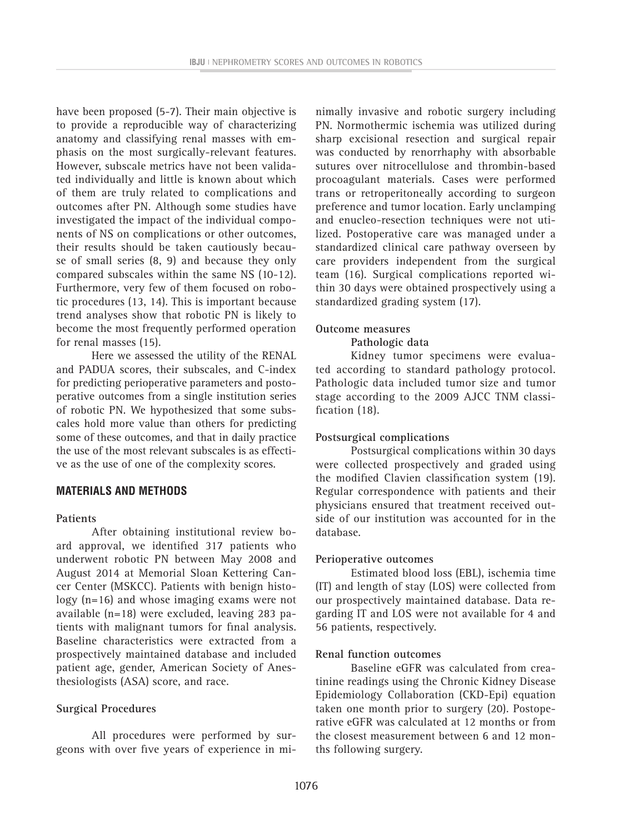have been proposed (5-7). Their main objective is to provide a reproducible way of characterizing anatomy and classifying renal masses with emphasis on the most surgically-relevant features. However, subscale metrics have not been validated individually and little is known about which of them are truly related to complications and outcomes after PN. Although some studies have investigated the impact of the individual components of NS on complications or other outcomes, their results should be taken cautiously because of small series (8, 9) and because they only compared subscales within the same NS (10-12). Furthermore, very few of them focused on robotic procedures (13, 14). This is important because trend analyses show that robotic PN is likely to become the most frequently performed operation for renal masses (15).

Here we assessed the utility of the RENAL and PADUA scores, their subscales, and C-index for predicting perioperative parameters and postoperative outcomes from a single institution series of robotic PN. We hypothesized that some subscales hold more value than others for predicting some of these outcomes, and that in daily practice the use of the most relevant subscales is as effective as the use of one of the complexity scores.

# **MATERIALS AND METHODS**

#### **Patients**

After obtaining institutional review board approval, we identified 317 patients who underwent robotic PN between May 2008 and August 2014 at Memorial Sloan Kettering Cancer Center (MSKCC). Patients with benign histology (n=16) and whose imaging exams were not available (n=18) were excluded, leaving 283 patients with malignant tumors for final analysis. Baseline characteristics were extracted from a prospectively maintained database and included patient age, gender, American Society of Anesthesiologists (ASA) score, and race.

#### **Surgical Procedures**

All procedures were performed by surgeons with over five years of experience in mi-

nimally invasive and robotic surgery including PN. Normothermic ischemia was utilized during sharp excisional resection and surgical repair was conducted by renorrhaphy with absorbable sutures over nitrocellulose and thrombin-based procoagulant materials. Cases were performed trans or retroperitoneally according to surgeon preference and tumor location. Early unclamping and enucleo-resection techniques were not utilized. Postoperative care was managed under a standardized clinical care pathway overseen by care providers independent from the surgical team (16). Surgical complications reported within 30 days were obtained prospectively using a standardized grading system (17).

### **Outcome measures**

### **Pathologic data**

Kidney tumor specimens were evaluated according to standard pathology protocol. Pathologic data included tumor size and tumor stage according to the 2009 AJCC TNM classification (18).

#### **Postsurgical complications**

Postsurgical complications within 30 days were collected prospectively and graded using the modified Clavien classification system (19). Regular correspondence with patients and their physicians ensured that treatment received outside of our institution was accounted for in the database.

#### **Perioperative outcomes**

Estimated blood loss (EBL), ischemia time (IT) and length of stay (LOS) were collected from our prospectively maintained database. Data regarding IT and LOS were not available for 4 and 56 patients, respectively.

#### **Renal function outcomes**

Baseline eGFR was calculated from creatinine readings using the Chronic Kidney Disease Epidemiology Collaboration (CKD-Epi) equation taken one month prior to surgery (20). Postoperative eGFR was calculated at 12 months or from the closest measurement between 6 and 12 months following surgery.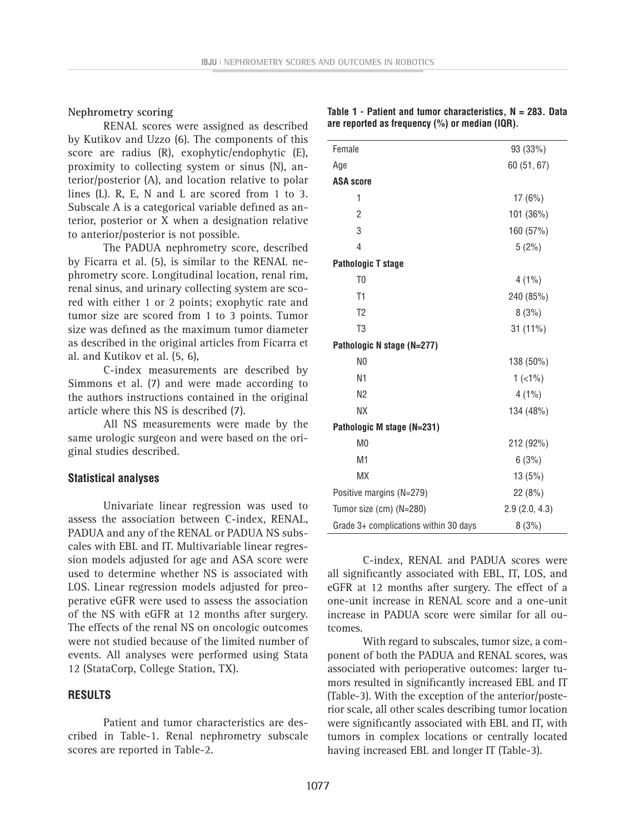## **Nephrometry scoring**

RENAL scores were assigned as described by Kutikov and Uzzo (6). The components of this score are radius (R), exophytic/endophytic (E), proximity to collecting system or sinus (N), anterior/posterior (A), and location relative to polar lines (L). R, E, N and L are scored from 1 to 3. Subscale A is a categorical variable defined as anterior, posterior or X when a designation relative to anterior/posterior is not possible.

The PADUA nephrometry score, described by Ficarra et al. (5), is similar to the RENAL nephrometry score. Longitudinal location, renal rim, renal sinus, and urinary collecting system are scored with either 1 or 2 points; exophytic rate and tumor size are scored from 1 to 3 points. Tumor size was defined as the maximum tumor diameter as described in the original articles from Ficarra et al. and Kutikov et al. (5, 6),

C-index measurements are described by Simmons et al. (7) and were made according to the authors instructions contained in the original article where this NS is described (7).

All NS measurements were made by the same urologic surgeon and were based on the original studies described.

#### **Statistical analyses**

Univariate linear regression was used to assess the association between C-index, RENAL, PADUA and any of the RENAL or PADUA NS subscales with EBL and IT. Multivariable linear regression models adjusted for age and ASA score were used to determine whether NS is associated with LOS. Linear regression models adjusted for preoperative eGFR were used to assess the association of the NS with eGFR at 12 months after surgery. The effects of the renal NS on oncologic outcomes were not studied because of the limited number of events. All analyses were performed using Stata 12 (StataCorp, College Station, TX).

#### **RESULTS**

Patient and tumor characteristics are described in Table-1. Renal nephrometry subscale scores are reported in Table-2.

| Female                                | 93 (33%)      |
|---------------------------------------|---------------|
| Age                                   | 60 (51, 67)   |
| <b>ASA score</b>                      |               |
| 1                                     | 17(6%)        |
| 2                                     | 101 (36%)     |
| 3                                     | 160 (57%)     |
| 4                                     | 5(2%)         |
| <b>Pathologic T stage</b>             |               |
| T <sub>0</sub>                        | $4(1\%)$      |
| T1                                    | 240 (85%)     |
| T <sub>2</sub>                        | 8(3%)         |
| T <sub>3</sub>                        | 31 (11%)      |
| Pathologic N stage (N=277)            |               |
| N <sub>0</sub>                        | 138 (50%)     |
| N1                                    | $1(1\%)$      |
| N <sub>2</sub>                        | $4(1\%)$      |
| <b>NX</b>                             | 134 (48%)     |
| Pathologic M stage (N=231)            |               |
| M <sub>0</sub>                        | 212 (92%)     |
| M <sub>1</sub>                        | 6(3%)         |
| <b>MX</b>                             | 13(5%)        |
| Positive margins (N=279)              | 22(8%)        |
| Tumor size (cm) (N=280)               | 2.9(2.0, 4.3) |
| Grade 3+ complications within 30 days | 8(3%)         |

C-index, RENAL and PADUA scores were all significantly associated with EBL, IT, LOS, and eGFR at 12 months after surgery. The effect of a one-unit increase in RENAL score and a one-unit increase in PADUA score were similar for all outcomes.

With regard to subscales, tumor size, a component of both the PADUA and RENAL scores, was associated with perioperative outcomes: larger tumors resulted in significantly increased EBL and IT (Table-3). With the exception of the anterior/posterior scale, all other scales describing tumor location were significantly associated with EBL and IT, with tumors in complex locations or centrally located having increased EBL and longer IT (Table-3).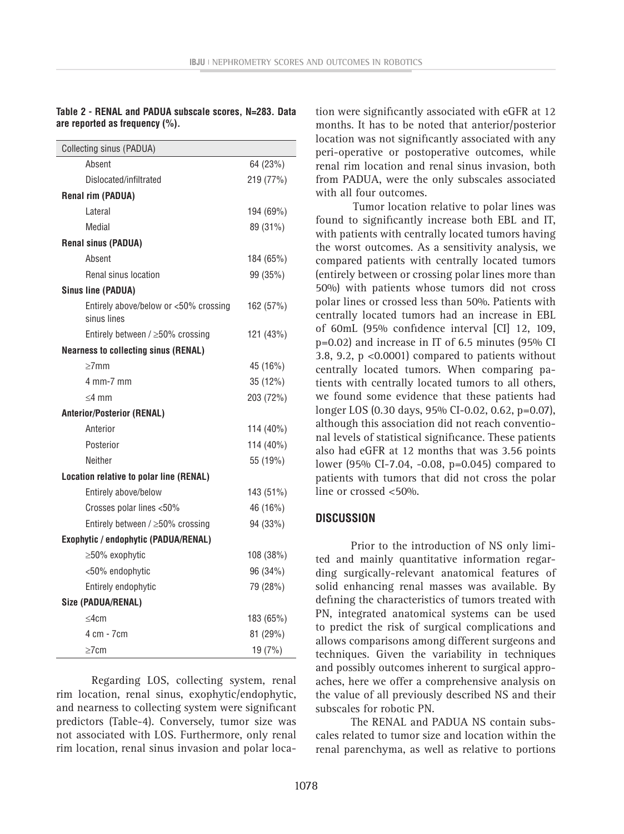## **Table 2 - RENAL and PADUA subscale scores, N=283. Data are reported as frequency (%).**

| Collecting sinus (PADUA)                             |           |
|------------------------------------------------------|-----------|
| Absent                                               | 64 (23%)  |
| Dislocated/infiltrated                               | 219 (77%) |
| <b>Renal rim (PADUA)</b>                             |           |
| Lateral                                              | 194 (69%) |
| Medial                                               | 89 (31%)  |
| <b>Renal sinus (PADUA)</b>                           |           |
| Absent                                               | 184 (65%) |
| Renal sinus location                                 | 99 (35%)  |
| <b>Sinus line (PADUA)</b>                            |           |
| Entirely above/below or <50% crossing<br>sinus lines | 162 (57%) |
| Entirely between / ≥50% crossing                     | 121 (43%) |
| <b>Nearness to collecting sinus (RENAL)</b>          |           |
| $>7$ mm                                              | 45 (16%)  |
| 4 mm-7 mm                                            | 35 (12%)  |
| $<$ 4 mm                                             | 203 (72%) |
| <b>Anterior/Posterior (RENAL)</b>                    |           |
| Anterior                                             | 114 (40%) |
| Posterior                                            | 114 (40%) |
| Neither                                              | 55 (19%)  |
| Location relative to polar line (RENAL)              |           |
| Entirely above/below                                 | 143 (51%) |
| Crosses polar lines <50%                             | 46 (16%)  |
| Entirely between / ≥50% crossing                     | 94 (33%)  |
| Exophytic / endophytic (PADUA/RENAL)                 |           |
| ≥50% exophytic                                       | 108 (38%) |
| <50% endophytic                                      | 96 (34%)  |
| Entirely endophytic                                  | 79 (28%)  |
| Size (PADUA/RENAL)                                   |           |
| $<$ 4 $cm$                                           | 183 (65%) |
| 4 cm - 7 cm                                          | 81 (29%)  |
| $\geq$ 7cm                                           | 19 (7%)   |

Regarding LOS, collecting system, renal rim location, renal sinus, exophytic/endophytic, and nearness to collecting system were significant predictors (Table-4). Conversely, tumor size was not associated with LOS. Furthermore, only renal rim location, renal sinus invasion and polar location were significantly associated with eGFR at 12 months. It has to be noted that anterior/posterior location was not significantly associated with any peri-operative or postoperative outcomes, while renal rim location and renal sinus invasion, both from PADUA, were the only subscales associated with all four outcomes.

Tumor location relative to polar lines was found to significantly increase both EBL and IT, with patients with centrally located tumors having the worst outcomes. As a sensitivity analysis, we compared patients with centrally located tumors (entirely between or crossing polar lines more than 50%) with patients whose tumors did not cross polar lines or crossed less than 50%. Patients with centrally located tumors had an increase in EBL of 60mL (95% confidence interval [CI] 12, 109, p=0.02) and increase in IT of 6.5 minutes (95% CI 3.8, 9.2,  $p \le 0.0001$  compared to patients without centrally located tumors. When comparing patients with centrally located tumors to all others, we found some evidence that these patients had longer LOS (0.30 days, 95% CI-0.02, 0.62, p=0.07), although this association did not reach conventional levels of statistical significance. These patients also had eGFR at 12 months that was 3.56 points lower (95% CI-7.04, -0.08, p=0.045) compared to patients with tumors that did not cross the polar line or crossed <50%.

# **DISCUSSION**

Prior to the introduction of NS only limited and mainly quantitative information regarding surgically-relevant anatomical features of solid enhancing renal masses was available. By defining the characteristics of tumors treated with PN, integrated anatomical systems can be used to predict the risk of surgical complications and allows comparisons among different surgeons and techniques. Given the variability in techniques and possibly outcomes inherent to surgical approaches, here we offer a comprehensive analysis on the value of all previously described NS and their subscales for robotic PN.

The RENAL and PADUA NS contain subscales related to tumor size and location within the renal parenchyma, as well as relative to portions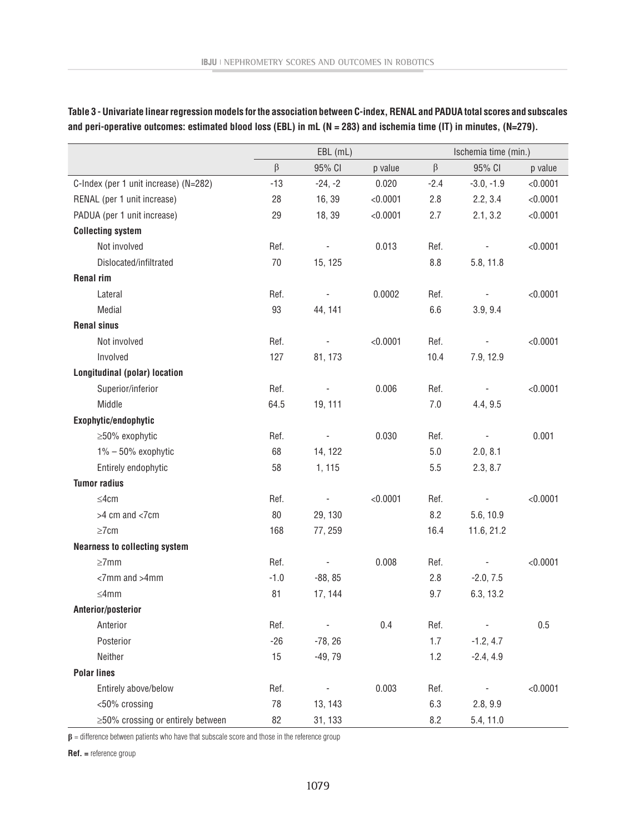**Table 3 - Univariate linear regression models for the association between C-index, RENAL and PADUA total scores and subscales and peri-operative outcomes: estimated blood loss (EBL) in mL (N = 283) and ischemia time (IT) in minutes, (N=279).**

|                                       | $EBL$ (mL) |                          |          | Ischemia time (min.) |                          |          |
|---------------------------------------|------------|--------------------------|----------|----------------------|--------------------------|----------|
|                                       | β          | 95% CI                   | p value  | $\beta$              | 95% CI                   | p value  |
| C-Index (per 1 unit increase) (N=282) | $-13$      | $-24, -2$                | 0.020    | $-2.4$               | $-3.0, -1.9$             | < 0.0001 |
| RENAL (per 1 unit increase)           | 28         | 16, 39                   | < 0.0001 | 2.8                  | 2.2, 3.4                 | < 0.0001 |
| PADUA (per 1 unit increase)           | 29         | 18, 39                   | < 0.0001 | 2.7                  | 2.1, 3.2                 | < 0.0001 |
| <b>Collecting system</b>              |            |                          |          |                      |                          |          |
| Not involved                          | Ref.       | $\qquad \qquad -$        | 0.013    | Ref.                 |                          | < 0.0001 |
| Dislocated/infiltrated                | 70         | 15, 125                  |          | 8.8                  | 5.8, 11.8                |          |
| <b>Renal rim</b>                      |            |                          |          |                      |                          |          |
| Lateral                               | Ref.       | $\overline{\phantom{a}}$ | 0.0002   | Ref.                 |                          | < 0.0001 |
| Medial                                | 93         | 44, 141                  |          | 6.6                  | 3.9, 9.4                 |          |
| <b>Renal sinus</b>                    |            |                          |          |                      |                          |          |
| Not involved                          | Ref.       | $\overline{\phantom{0}}$ | < 0.0001 | Ref.                 | $\overline{\phantom{a}}$ | < 0.0001 |
| Involved                              | 127        | 81, 173                  |          | 10.4                 | 7.9, 12.9                |          |
| <b>Longitudinal (polar) location</b>  |            |                          |          |                      |                          |          |
| Superior/inferior                     | Ref.       | $\overline{\phantom{0}}$ | 0.006    | Ref.                 |                          | < 0.0001 |
| Middle                                | 64.5       | 19, 111                  |          | 7.0                  | 4.4, 9.5                 |          |
| Exophytic/endophytic                  |            |                          |          |                      |                          |          |
| ≥50% exophytic                        | Ref.       | $\overline{\phantom{a}}$ | 0.030    | Ref.                 | $\overline{\phantom{a}}$ | 0.001    |
| $1\% - 50\%$ exophytic                | 68         | 14, 122                  |          | 5.0                  | 2.0, 8.1                 |          |
| Entirely endophytic                   | 58         | 1, 115                   |          | 5.5                  | 2.3, 8.7                 |          |
| <b>Tumor radius</b>                   |            |                          |          |                      |                          |          |
| $\leq$ 4cm                            | Ref.       | $\overline{\phantom{a}}$ | < 0.0001 | Ref.                 |                          | < 0.0001 |
| >4 cm and <7cm                        | 80         | 29, 130                  |          | 8.2                  | 5.6, 10.9                |          |
| $\geq$ 7cm                            | 168        | 77, 259                  |          | 16.4                 | 11.6, 21.2               |          |
| <b>Nearness to collecting system</b>  |            |                          |          |                      |                          |          |
| $\geq$ 7mm                            | Ref.       | ٠                        | 0.008    | Ref.                 | $\overline{\phantom{m}}$ | < 0.0001 |
| $<$ 7mm and $>$ 4mm                   | $-1.0$     | $-88, 85$                |          | 2.8                  | $-2.0, 7.5$              |          |
| $\leq$ 4mm                            | 81         | 17, 144                  |          | 9.7                  | 6.3, 13.2                |          |
| Anterior/posterior                    |            |                          |          |                      |                          |          |
| Anterior                              | Ref.       | $\overline{\phantom{a}}$ | 0.4      | Ref.                 | $\overline{\phantom{a}}$ | 0.5      |
| Posterior                             | $-26$      | $-78, 26$                |          | 1.7                  | $-1.2, 4.7$              |          |
| Neither                               | 15         | $-49,79$                 |          | 1.2                  | $-2.4, 4.9$              |          |
| <b>Polar lines</b>                    |            |                          |          |                      |                          |          |
| Entirely above/below                  | Ref.       | $\overline{\phantom{a}}$ | 0.003    | Ref.                 | $\sim$                   | < 0.0001 |
| <50% crossing                         | 78         | 13, 143                  |          | 6.3                  | 2.8, 9.9                 |          |
| ≥50% crossing or entirely between     | 82         | 31, 133                  |          | 8.2                  | 5.4, 11.0                |          |

**β** = difference between patients who have that subscale score and those in the reference group

**Ref. =** reference group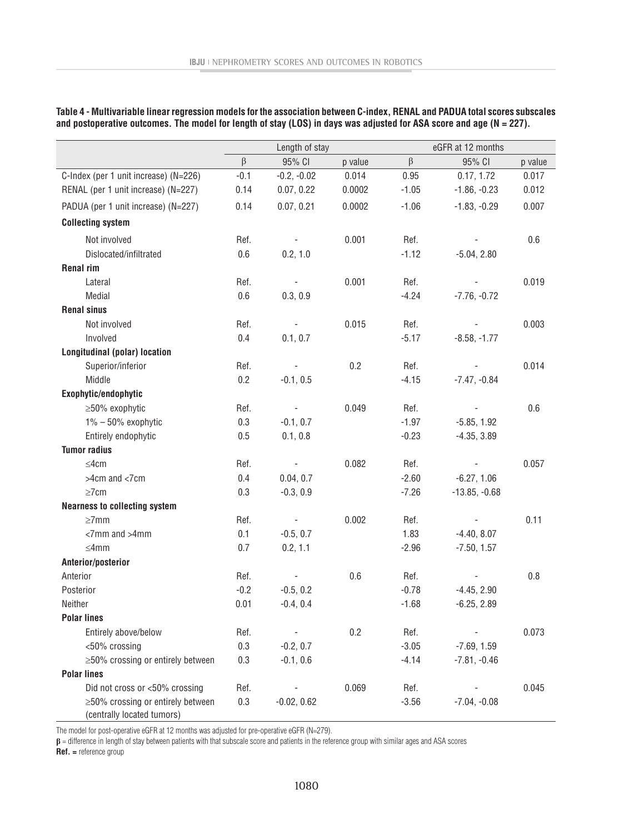| Table 4 - Multivariable linear regression models for the association between C-index, RENAL and PADUA total scores subscales |  |
|------------------------------------------------------------------------------------------------------------------------------|--|
| and postoperative outcomes. The model for length of stay (LOS) in days was adjusted for ASA score and age (N = 227).         |  |

|                                                                 | Length of stay |                          |         | eGFR at 12 months |                 |         |
|-----------------------------------------------------------------|----------------|--------------------------|---------|-------------------|-----------------|---------|
|                                                                 | $\beta$        | 95% CI                   | p value | β                 | 95% CI          | p value |
| C-Index (per 1 unit increase) (N=226)                           | $-0.1$         | $-0.2, -0.02$            | 0.014   | 0.95              | 0.17, 1.72      | 0.017   |
| RENAL (per 1 unit increase) (N=227)                             | 0.14           | 0.07, 0.22               | 0.0002  | $-1.05$           | $-1.86, -0.23$  | 0.012   |
| PADUA (per 1 unit increase) (N=227)                             | 0.14           | 0.07, 0.21               | 0.0002  | $-1.06$           | $-1.83, -0.29$  | 0.007   |
| <b>Collecting system</b>                                        |                |                          |         |                   |                 |         |
| Not involved                                                    | Ref.           | $\overline{\phantom{a}}$ | 0.001   | Ref.              |                 | 0.6     |
| Dislocated/infiltrated                                          | 0.6            | 0.2, 1.0                 |         | $-1.12$           | $-5.04, 2.80$   |         |
| <b>Renal rim</b>                                                |                |                          |         |                   |                 |         |
| Lateral                                                         | Ref.           |                          | 0.001   | Ref.              |                 | 0.019   |
| Medial                                                          | 0.6            | 0.3, 0.9                 |         | $-4.24$           | $-7.76, -0.72$  |         |
| <b>Renal sinus</b>                                              |                |                          |         |                   |                 |         |
| Not involved                                                    | Ref.           | $\overline{\phantom{a}}$ | 0.015   | Ref.              |                 | 0.003   |
| Involved                                                        | 0.4            | 0.1, 0.7                 |         | $-5.17$           | $-8.58, -1.77$  |         |
| <b>Longitudinal (polar) location</b>                            |                |                          |         |                   |                 |         |
| Superior/inferior                                               | Ref.           |                          | 0.2     | Ref.              |                 | 0.014   |
| Middle                                                          | 0.2            | $-0.1, 0.5$              |         | $-4.15$           | $-7.47, -0.84$  |         |
| Exophytic/endophytic                                            |                |                          |         |                   |                 |         |
| ≥50% exophytic                                                  | Ref.           |                          | 0.049   | Ref.              |                 | 0.6     |
| $1\% - 50\%$ exophytic                                          | 0.3            | $-0.1, 0.7$              |         | $-1.97$           | $-5.85, 1.92$   |         |
| Entirely endophytic                                             | 0.5            | 0.1, 0.8                 |         | $-0.23$           | $-4.35, 3.89$   |         |
| <b>Tumor radius</b>                                             |                |                          |         |                   |                 |         |
| $\leq$ 4cm                                                      | Ref.           | $\overline{\phantom{a}}$ | 0.082   | Ref.              |                 | 0.057   |
| >4cm and <7cm                                                   | 0.4            | 0.04, 0.7                |         | $-2.60$           | $-6.27, 1.06$   |         |
| $\geq$ 7cm                                                      | 0.3            | $-0.3, 0.9$              |         | $-7.26$           | $-13.85, -0.68$ |         |
| <b>Nearness to collecting system</b>                            |                |                          |         |                   |                 |         |
| $\geq$ 7mm                                                      | Ref.           |                          | 0.002   | Ref.              |                 | 0.11    |
| <7mm and >4mm                                                   | 0.1            | $-0.5, 0.7$              |         | 1.83              | $-4.40, 8.07$   |         |
| $\leq$ 4mm                                                      | 0.7            | 0.2, 1.1                 |         | $-2.96$           | $-7.50, 1.57$   |         |
| Anterior/posterior                                              |                |                          |         |                   |                 |         |
| Anterior                                                        | Ref.           |                          | 0.6     | Ref.              |                 | 0.8     |
| Posterior                                                       | $-0.2$         | $-0.5, 0.2$              |         | $-0.78$           | $-4.45, 2.90$   |         |
| Neither                                                         | 0.01           | $-0.4, 0.4$              |         | $-1.68$           | $-6.25, 2.89$   |         |
| <b>Polar lines</b>                                              |                |                          |         |                   |                 |         |
| Entirely above/below                                            | Ref.           |                          | 0.2     | Ref.              |                 | 0.073   |
| <50% crossing                                                   | 0.3            | $-0.2, 0.7$              |         | $-3.05$           | $-7.69, 1.59$   |         |
| $\geq$ 50% crossing or entirely between                         | 0.3            | $-0.1, 0.6$              |         | $-4.14$           | $-7.81, -0.46$  |         |
| <b>Polar lines</b>                                              |                |                          |         |                   |                 |         |
| Did not cross or <50% crossing                                  | Ref.           |                          | 0.069   | Ref.              |                 | 0.045   |
| ≥50% crossing or entirely between<br>(centrally located tumors) | 0.3            | $-0.02, 0.62$            |         | $-3.56$           | $-7.04, -0.08$  |         |

The model for post-operative eGFR at 12 months was adjusted for pre-operative eGFR (N=279).

**β** = difference in length of stay between patients with that subscale score and patients in the reference group with similar ages and ASA scores

**Ref. =** reference group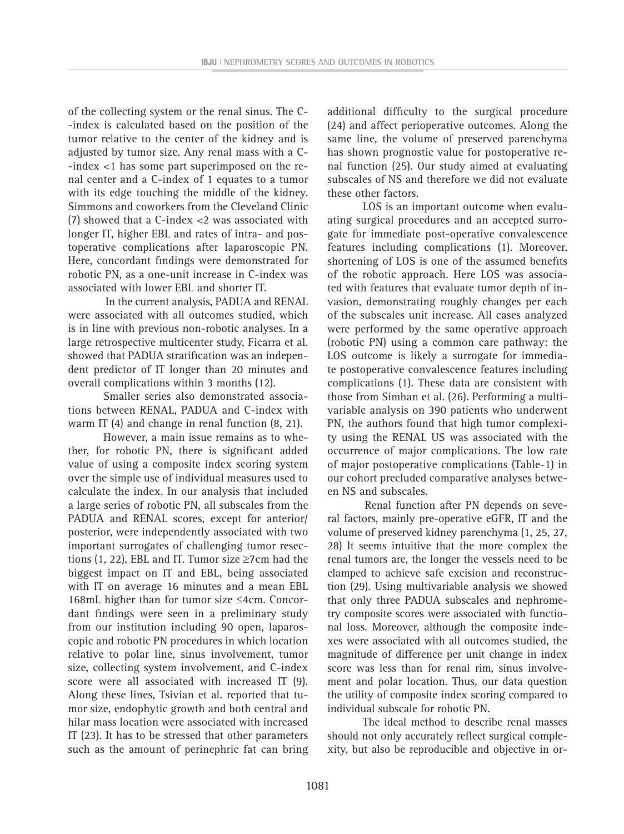of the collecting system or the renal sinus. The C- -index is calculated based on the position of the tumor relative to the center of the kidney and is adjusted by tumor size. Any renal mass with a C- -index <1 has some part superimposed on the renal center and a C-index of 1 equates to a tumor with its edge touching the middle of the kidney. Simmons and coworkers from the Cleveland Clinic (7) showed that a C-index <2 was associated with longer IT, higher EBL and rates of intra- and postoperative complications after laparoscopic PN. Here, concordant findings were demonstrated for robotic PN, as a one-unit increase in C-index was associated with lower EBL and shorter IT.

In the current analysis, PADUA and RENAL were associated with all outcomes studied, which is in line with previous non-robotic analyses. In a large retrospective multicenter study, Ficarra et al. showed that PADUA stratification was an independent predictor of IT longer than 20 minutes and overall complications within 3 months (12).

Smaller series also demonstrated associations between RENAL, PADUA and C-index with warm IT (4) and change in renal function (8, 21).

However, a main issue remains as to whether, for robotic PN, there is significant added value of using a composite index scoring system over the simple use of individual measures used to calculate the index. In our analysis that included a large series of robotic PN, all subscales from the PADUA and RENAL scores, except for anterior/ posterior, were independently associated with two important surrogates of challenging tumor resections (1, 22), EBL and IT. Tumor size ≥7cm had the biggest impact on IT and EBL, being associated with IT on average 16 minutes and a mean EBL 168mL higher than for tumor size ≤4cm. Concordant findings were seen in a preliminary study from our institution including 90 open, laparoscopic and robotic PN procedures in which location relative to polar line, sinus involvement, tumor size, collecting system involvement, and C-index score were all associated with increased IT (9). Along these lines, Tsivian et al. reported that tumor size, endophytic growth and both central and hilar mass location were associated with increased IT (23). It has to be stressed that other parameters such as the amount of perinephric fat can bring

additional difficulty to the surgical procedure (24) and affect perioperative outcomes. Along the same line, the volume of preserved parenchyma has shown prognostic value for postoperative renal function (25). Our study aimed at evaluating subscales of NS and therefore we did not evaluate these other factors.

LOS is an important outcome when evaluating surgical procedures and an accepted surrogate for immediate post-operative convalescence features including complications (1). Moreover, shortening of LOS is one of the assumed benefits of the robotic approach. Here LOS was associated with features that evaluate tumor depth of invasion, demonstrating roughly changes per each of the subscales unit increase. All cases analyzed were performed by the same operative approach (robotic PN) using a common care pathway: the LOS outcome is likely a surrogate for immediate postoperative convalescence features including complications (1). These data are consistent with those from Simhan et al. (26). Performing a multivariable analysis on 390 patients who underwent PN, the authors found that high tumor complexity using the RENAL US was associated with the occurrence of major complications. The low rate of major postoperative complications (Table-1) in our cohort precluded comparative analyses between NS and subscales.

Renal function after PN depends on several factors, mainly pre-operative eGFR, IT and the volume of preserved kidney parenchyma (1, 25, 27, 28) It seems intuitive that the more complex the renal tumors are, the longer the vessels need to be clamped to achieve safe excision and reconstruction (29). Using multivariable analysis we showed that only three PADUA subscales and nephrometry composite scores were associated with functional loss. Moreover, although the composite indexes were associated with all outcomes studied, the magnitude of difference per unit change in index score was less than for renal rim, sinus involvement and polar location. Thus, our data question the utility of composite index scoring compared to individual subscale for robotic PN.

The ideal method to describe renal masses should not only accurately reflect surgical complexity, but also be reproducible and objective in or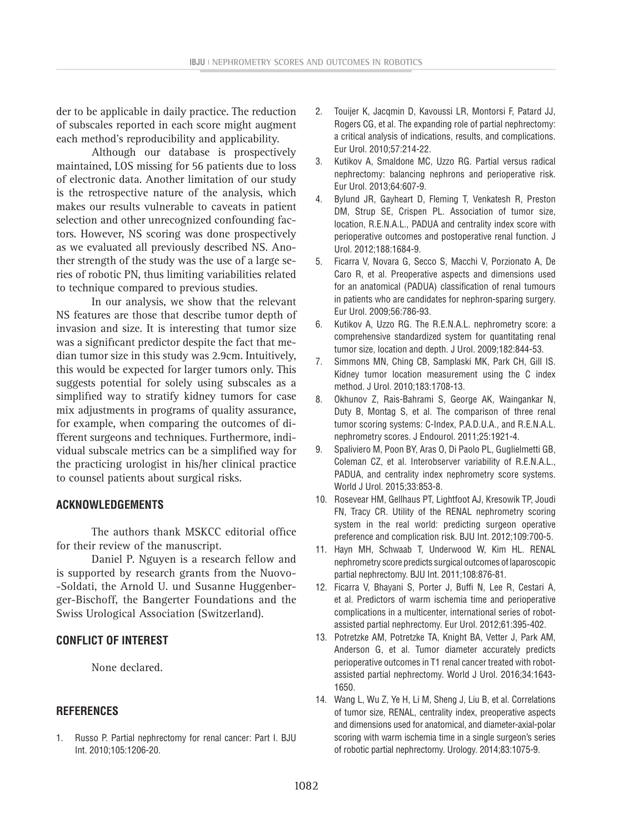der to be applicable in daily practice. The reduction of subscales reported in each score might augment each method's reproducibility and applicability.

Although our database is prospectively maintained, LOS missing for 56 patients due to loss of electronic data. Another limitation of our study is the retrospective nature of the analysis, which makes our results vulnerable to caveats in patient selection and other unrecognized confounding factors. However, NS scoring was done prospectively as we evaluated all previously described NS. Another strength of the study was the use of a large series of robotic PN, thus limiting variabilities related to technique compared to previous studies.

In our analysis, we show that the relevant NS features are those that describe tumor depth of invasion and size. It is interesting that tumor size was a significant predictor despite the fact that median tumor size in this study was 2.9cm. Intuitively, this would be expected for larger tumors only. This suggests potential for solely using subscales as a simplified way to stratify kidney tumors for case mix adjustments in programs of quality assurance, for example, when comparing the outcomes of different surgeons and techniques. Furthermore, individual subscale metrics can be a simplified way for the practicing urologist in his/her clinical practice to counsel patients about surgical risks.

#### **ACKNOWLEDGEMENTS**

The authors thank MSKCC editorial office for their review of the manuscript.

Daniel P. Nguyen is a research fellow and is supported by research grants from the Nuovo- -Soldati, the Arnold U. und Susanne Huggenberger-Bischoff, the Bangerter Foundations and the Swiss Urological Association (Switzerland).

# **CONFLICT OF INTEREST**

None declared.

### **REFERENCES**

1. Russo P. Partial nephrectomy for renal cancer: Part I. BJU Int. 2010;105:1206-20.

- 2. Touijer K, Jacqmin D, Kavoussi LR, Montorsi F, Patard JJ, Rogers CG, et al. The expanding role of partial nephrectomy: a critical analysis of indications, results, and complications. Eur Urol. 2010;57:214-22.
- 3. Kutikov A, Smaldone MC, Uzzo RG. Partial versus radical nephrectomy: balancing nephrons and perioperative risk. Eur Urol. 2013;64:607-9.
- 4. Bylund JR, Gayheart D, Fleming T, Venkatesh R, Preston DM, Strup SE, Crispen PL. Association of tumor size, location, R.E.N.A.L., PADUA and centrality index score with perioperative outcomes and postoperative renal function. J Urol. 2012;188:1684-9.
- 5. Ficarra V, Novara G, Secco S, Macchi V, Porzionato A, De Caro R, et al. Preoperative aspects and dimensions used for an anatomical (PADUA) classification of renal tumours in patients who are candidates for nephron-sparing surgery. Eur Urol. 2009;56:786-93.
- 6. Kutikov A, Uzzo RG. The R.E.N.A.L. nephrometry score: a comprehensive standardized system for quantitating renal tumor size, location and depth. J Urol. 2009;182:844-53.
- 7. Simmons MN, Ching CB, Samplaski MK, Park CH, Gill IS. Kidney tumor location measurement using the C index method. J Urol. 2010;183:1708-13.
- 8. Okhunov Z, Rais-Bahrami S, George AK, Waingankar N, Duty B, Montag S, et al. The comparison of three renal tumor scoring systems: C-Index, P.A.D.U.A., and R.E.N.A.L. nephrometry scores. J Endourol. 2011;25:1921-4.
- 9. Spaliviero M, Poon BY, Aras O, Di Paolo PL, Guglielmetti GB, Coleman CZ, et al. Interobserver variability of R.E.N.A.L., PADUA, and centrality index nephrometry score systems. World J Urol. 2015;33:853-8.
- 10. Rosevear HM, Gellhaus PT, Lightfoot AJ, Kresowik TP, Joudi FN, Tracy CR. Utility of the RENAL nephrometry scoring system in the real world: predicting surgeon operative preference and complication risk. BJU Int. 2012;109:700-5.
- 11. Hayn MH, Schwaab T, Underwood W, Kim HL. RENAL nephrometry score predicts surgical outcomes of laparoscopic partial nephrectomy. BJU Int. 2011;108:876-81.
- 12. Ficarra V, Bhayani S, Porter J, Buffi N, Lee R, Cestari A, et al. Predictors of warm ischemia time and perioperative complications in a multicenter, international series of robotassisted partial nephrectomy. Eur Urol. 2012;61:395-402.
- 13. Potretzke AM, Potretzke TA, Knight BA, Vetter J, Park AM, Anderson G, et al. Tumor diameter accurately predicts perioperative outcomes in T1 renal cancer treated with robotassisted partial nephrectomy. World J Urol. 2016;34:1643- 1650.
- 14. Wang L, Wu Z, Ye H, Li M, Sheng J, Liu B, et al. Correlations of tumor size, RENAL, centrality index, preoperative aspects and dimensions used for anatomical, and diameter-axial-polar scoring with warm ischemia time in a single surgeon's series of robotic partial nephrectomy. Urology. 2014;83:1075-9.